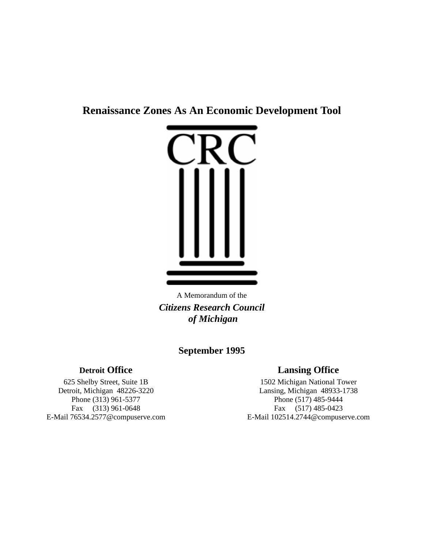# **Renaissance Zones As An Economic Development Tool**



A Memorandum of the *Citizens Research Council of Michigan*

# **September 1995**

# **Detroit Office Lansing Office**

625 Shelby Street, Suite 1B 1502 Michigan National Tower Detroit, Michigan 48226-3220<br>
Phone (313) 961-5377<br>
Phone (517) 485-9444<br>
Phone (517) 485-9444 Phone (517) 485-9444 Fax (313) 961-0648 Fax (517) 485-0423 E-Mail 76534.2577@compuserve.com E-Mail 102514.2744@compuserve.com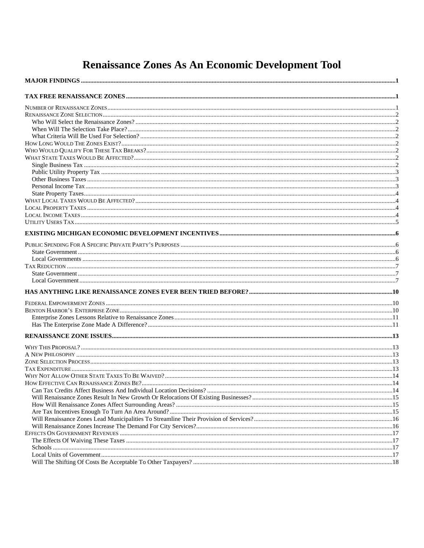# Renaissance Zones As An Economic Development Tool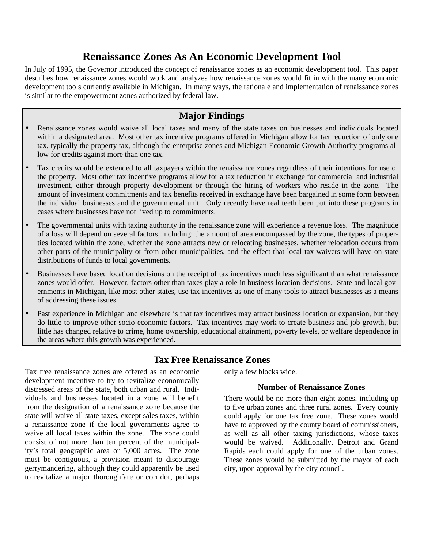# **Renaissance Zones As An Economic Development Tool**

In July of 1995, the Governor introduced the concept of renaissance zones as an economic development tool. This paper describes how renaissance zones would work and analyzes how renaissance zones would fit in with the many economic development tools currently available in Michigan. In many ways, the rationale and implementation of renaissance zones is similar to the empowerment zones authorized by federal law.

# **Major Findings**

- Renaissance zones would waive all local taxes and many of the state taxes on businesses and individuals located within a designated area. Most other tax incentive programs offered in Michigan allow for tax reduction of only one tax, typically the property tax, although the enterprise zones and Michigan Economic Growth Authority programs allow for credits against more than one tax.
- Tax credits would be extended to all taxpayers within the renaissance zones regardless of their intentions for use of the property. Most other tax incentive programs allow for a tax reduction in exchange for commercial and industrial investment, either through property development or through the hiring of workers who reside in the zone. The amount of investment commitments and tax benefits received in exchange have been bargained in some form between the individual businesses and the governmental unit. Only recently have real teeth been put into these programs in cases where businesses have not lived up to commitments.
- The governmental units with taxing authority in the renaissance zone will experience a revenue loss. The magnitude of a loss will depend on several factors, including: the amount of area encompassed by the zone, the types of properties located within the zone, whether the zone attracts new or relocating businesses, whether relocation occurs from other parts of the municipality or from other municipalities, and the effect that local tax waivers will have on state distributions of funds to local governments.
- Businesses have based location decisions on the receipt of tax incentives much less significant than what renaissance zones would offer. However, factors other than taxes play a role in business location decisions. State and local governments in Michigan, like most other states, use tax incentives as one of many tools to attract businesses as a means of addressing these issues.
- Past experience in Michigan and elsewhere is that tax incentives may attract business location or expansion, but they do little to improve other socio-economic factors. Tax incentives may work to create business and job growth, but little has changed relative to crime, home ownership, educational attainment, poverty levels, or welfare dependence in the areas where this growth was experienced.

# **Tax Free Renaissance Zones**

Tax free renaissance zones are offered as an economic development incentive to try to revitalize economically distressed areas of the state, both urban and rural. Individuals and businesses located in a zone will benefit from the designation of a renaissance zone because the state will waive all state taxes, except sales taxes, within a renaissance zone if the local governments agree to waive all local taxes within the zone. The zone could consist of not more than ten percent of the municipality's total geographic area or 5,000 acres. The zone must be contiguous, a provision meant to discourage gerrymandering, although they could apparently be used to revitalize a major thoroughfare or corridor, perhaps

only a few blocks wide.

#### **Number of Renaissance Zones**

There would be no more than eight zones, including up to five urban zones and three rural zones. Every county could apply for one tax free zone. These zones would have to approved by the county board of commissioners, as well as all other taxing jurisdictions, whose taxes would be waived. Additionally, Detroit and Grand Rapids each could apply for one of the urban zones. These zones would be submitted by the mayor of each city, upon approval by the city council.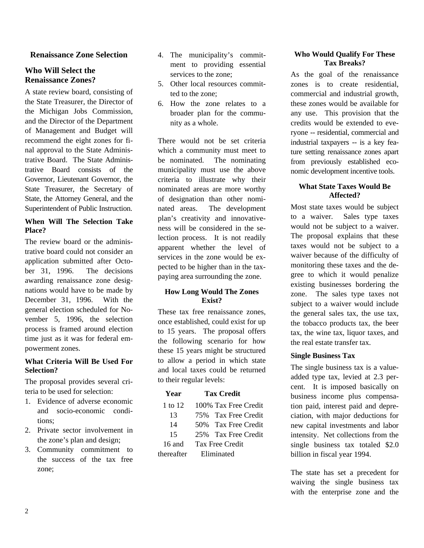#### **Renaissance Zone Selection**

#### **Who Will Select the Renaissance Zones?**

A state review board, consisting of the State Treasurer, the Director of the Michigan Jobs Commission, and the Director of the Department of Management and Budget will recommend the eight zones for final approval to the State Administrative Board. The State Administrative Board consists of the Governor, Lieutenant Governor, the State Treasurer, the Secretary of State, the Attorney General, and the Superintendent of Public Instruction.

#### **When Will The Selection Take Place?**

The review board or the administrative board could not consider an application submitted after October 31, 1996. The decisions awarding renaissance zone designations would have to be made by December 31, 1996. With the general election scheduled for November 5, 1996, the selection process is framed around election time just as it was for federal empowerment zones.

#### **What Criteria Will Be Used For Selection?**

The proposal provides several criteria to be used for selection:

- 1. Evidence of adverse economic and socio-economic conditions;
- 2. Private sector involvement in the zone's plan and design;
- 3. Community commitment to the success of the tax free zone;
- 4. The municipality's commitment to providing essential services to the zone;
- 5. Other local resources committed to the zone;
- 6. How the zone relates to a broader plan for the community as a whole.

There would not be set criteria which a community must meet to be nominated. The nominating municipality must use the above criteria to illustrate why their nominated areas are more worthy of designation than other nominated areas. The development plan's creativity and innovativeness will be considered in the selection process. It is not readily apparent whether the level of services in the zone would be expected to be higher than in the taxpaying area surrounding the zone.

#### **How Long Would The Zones Exist?**

These tax free renaissance zones, once established, could exist for up to 15 years. The proposal offers the following scenario for how these 15 years might be structured to allow a period in which state and local taxes could be returned to their regular levels:

#### **Year Tax Credit**

| 1 to 12    | 100% Tax Free Credit |
|------------|----------------------|
| 13         | 75% Tax Free Credit  |
| 14         | 50% Tax Free Credit  |
| 15         | 25% Tax Free Credit  |
| $16$ and   | Tax Free Credit      |
| thereafter | Eliminated           |

#### **Who Would Qualify For These Tax Breaks?**

As the goal of the renaissance zones is to create residential, commercial and industrial growth, these zones would be available for any use. This provision that the credits would be extended to everyone -- residential, commercial and industrial taxpayers -- is a key feature setting renaissance zones apart from previously established economic development incentive tools.

#### **What State Taxes Would Be Affected?**

Most state taxes would be subject to a waiver. Sales type taxes would not be subject to a waiver. The proposal explains that these taxes would not be subject to a waiver because of the difficulty of monitoring these taxes and the degree to which it would penalize existing businesses bordering the zone. The sales type taxes not subject to a waiver would include the general sales tax, the use tax, the tobacco products tax, the beer tax, the wine tax, liquor taxes, and the real estate transfer tax.

#### **Single Business Tax**

The single business tax is a valueadded type tax, levied at 2.3 percent. It is imposed basically on business income plus compensation paid, interest paid and depreciation, with major deductions for new capital investments and labor intensity. Net collections from the single business tax totaled \$2.0 billion in fiscal year 1994.

The state has set a precedent for waiving the single business tax with the enterprise zone and the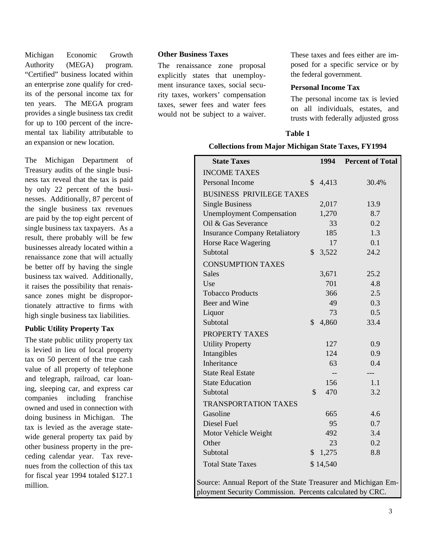Michigan Economic Growth Authority (MEGA) program. "Certified" business located within an enterprise zone qualify for credits of the personal income tax for ten years. The MEGA program provides a single business tax credit for up to 100 percent of the incremental tax liability attributable to an expansion or new location.

The Michigan Department of Treasury audits of the single business tax reveal that the tax is paid by only 22 percent of the businesses. Additionally, 87 percent of the single business tax revenues are paid by the top eight percent of single business tax taxpayers. As a result, there probably will be few businesses already located within a renaissance zone that will actually be better off by having the single business tax waived. Additionally, it raises the possibility that renaissance zones might be disproportionately attractive to firms with high single business tax liabilities.

#### **Public Utility Property Tax**

The state public utility property tax is levied in lieu of local property tax on 50 percent of the true cash value of all property of telephone and telegraph, railroad, car loaning, sleeping car, and express car companies including franchise owned and used in connection with doing business in Michigan. The tax is levied as the average statewide general property tax paid by other business property in the preceding calendar year. Tax revenues from the collection of this tax for fiscal year 1994 totaled \$127.1 million.

#### **Other Business Taxes**

The renaissance zone proposal explicitly states that unemployment insurance taxes, social security taxes, workers' compensation taxes, sewer fees and water fees would not be subject to a waiver.

These taxes and fees either are imposed for a specific service or by the federal government.

#### **Personal Income Tax**

The personal income tax is levied on all individuals, estates, and trusts with federally adjusted gross

#### **Table 1**

#### **Collections from Major Michigan State Taxes, FY1994**

| <b>State Taxes</b>                                                                                                         |               |          | 1994 Percent of Total |
|----------------------------------------------------------------------------------------------------------------------------|---------------|----------|-----------------------|
| <b>INCOME TAXES</b>                                                                                                        |               |          |                       |
| Personal Income                                                                                                            | \$            | 4,413    | 30.4%                 |
| <b>BUSINESS PRIVILEGE TAXES</b>                                                                                            |               |          |                       |
| <b>Single Business</b>                                                                                                     |               | 2,017    | 13.9                  |
| <b>Unemployment Compensation</b>                                                                                           |               | 1,270    | 8.7                   |
| Oil & Gas Severance                                                                                                        |               | 33       | 0.2                   |
| <b>Insurance Company Retaliatory</b>                                                                                       |               | 185      | 1.3                   |
| Horse Race Wagering                                                                                                        |               | 17       | 0.1                   |
| Subtotal                                                                                                                   | $\mathcal{S}$ | 3,522    | 24.2                  |
| <b>CONSUMPTION TAXES</b>                                                                                                   |               |          |                       |
| <b>Sales</b>                                                                                                               |               | 3,671    | 25.2                  |
| Use                                                                                                                        |               | 701      | 4.8                   |
| <b>Tobacco Products</b>                                                                                                    |               | 366      | 2.5                   |
| Beer and Wine                                                                                                              |               | 49       | 0.3                   |
| Liquor                                                                                                                     |               | 73       | 0.5                   |
| Subtotal                                                                                                                   | $\mathcal{S}$ | 4,860    | 33.4                  |
| PROPERTY TAXES                                                                                                             |               |          |                       |
| <b>Utility Property</b>                                                                                                    |               | 127      | 0.9                   |
| Intangibles                                                                                                                |               | 124      | 0.9                   |
| Inheritance                                                                                                                |               | 63       | 0.4                   |
| <b>State Real Estate</b>                                                                                                   |               |          | ---                   |
| <b>State Education</b>                                                                                                     |               | 156      | 1.1                   |
| Subtotal                                                                                                                   | \$            | 470      | 3.2                   |
| <b>TRANSPORTATION TAXES</b>                                                                                                |               |          |                       |
| Gasoline                                                                                                                   |               | 665      | 4.6                   |
| Diesel Fuel                                                                                                                |               | 95       | 0.7                   |
| Motor Vehicle Weight                                                                                                       |               | 492      | 3.4                   |
| Other                                                                                                                      |               | 23       | 0.2                   |
| Subtotal                                                                                                                   | \$            | 1,275    | 8.8                   |
| <b>Total State Taxes</b>                                                                                                   |               | \$14,540 |                       |
| Source: Annual Report of the State Treasurer and Michigan Em-<br>ployment Security Commission. Percents calculated by CRC. |               |          |                       |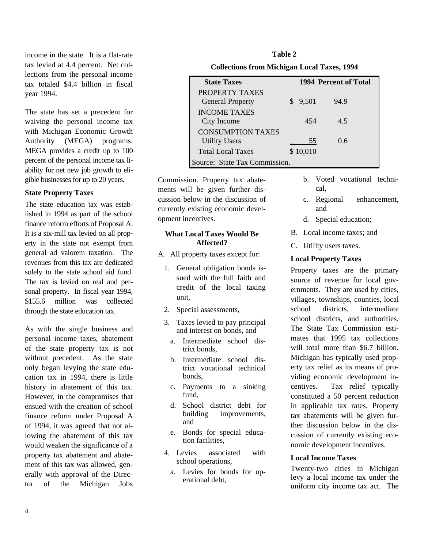income in the state. It is a flat-rate tax levied at 4.4 percent. Net collections from the personal income tax totaled \$4.4 billion in fiscal year 1994.

The state has set a precedent for waiving the personal income tax with Michigan Economic Growth Authority (MEGA) programs. MEGA provides a credit up to 100 percent of the personal income tax liability for net new job growth to eligible businesses for up to 20 years.

#### **State Property Taxes**

The state education tax was established in 1994 as part of the school finance reform efforts of Proposal A. It is a six-mill tax levied on all property in the state not exempt from general ad valorem taxation. The revenues from this tax are dedicated solely to the state school aid fund. The tax is levied on real and personal property. In fiscal year 1994, \$155.6 million was collected through the state education tax.

As with the single business and personal income taxes, abatement of the state property tax is not without precedent. As the state only began levying the state education tax in 1994, there is little history in abatement of this tax. However, in the compromises that ensued with the creation of school finance reform under Proposal A of 1994, it was agreed that not allowing the abatement of this tax would weaken the significance of a property tax abatement and abatement of this tax was allowed, generally with approval of the Director of the Michigan Jobs

| Table 2              |  |  |  |  |
|----------------------|--|--|--|--|
| 11 1. GRAPI, TIM 101 |  |  |  |  |

| <b>Collections from Michigan Local Taxes, 1994</b> |
|----------------------------------------------------|
|----------------------------------------------------|

| <b>State Taxes</b>                               |          | 1994 Percent of Total |  |  |
|--------------------------------------------------|----------|-----------------------|--|--|
| PROPERTY TAXES<br><b>General Property</b>        | 9,501    | 94.9                  |  |  |
| <b>INCOME TAXES</b><br>City Income               | 454      | 45                    |  |  |
| <b>CONSUMPTION TAXES</b><br><b>Utility Users</b> | 55       | 0.6                   |  |  |
| <b>Total Local Taxes</b>                         | \$10,010 |                       |  |  |
| Source: State Tax Commission.                    |          |                       |  |  |

Commission. Property tax abatements will be given further discussion below in the discussion of currently existing economic development incentives.

#### **What Local Taxes Would Be Affected?**

- A. All property taxes except for:
	- 1. General obligation bonds issued with the full faith and credit of the local taxing unit,
	- 2. Special assessments,
	- 3. Taxes levied to pay principal and interest on bonds, and
		- a. Intermediate school district bonds,
		- b. Intermediate school district vocational technical bonds,
		- c. Payments to a sinking fund,
		- d. School district debt for building improvements, and
		- e. Bonds for special education facilities,
	- 4. Levies associated with school operations,
		- a. Levies for bonds for operational debt,
- b. Voted vocational technical,
- c. Regional enhancement, and
- d. Special education;
- B. Local income taxes; and
- C. Utility users taxes.

#### **Local Property Taxes**

Property taxes are the primary source of revenue for local governments. They are used by cities, villages, townships, counties, local school districts, intermediate school districts, and authorities. The State Tax Commission estimates that 1995 tax collections will total more than \$6.7 billion. Michigan has typically used property tax relief as its means of providing economic development incentives. Tax relief typically constituted a 50 percent reduction in applicable tax rates. Property tax abatements will be given further discussion below in the discussion of currently existing economic development incentives.

#### **Local Income Taxes**

Twenty-two cities in Michigan levy a local income tax under the uniform city income tax act. The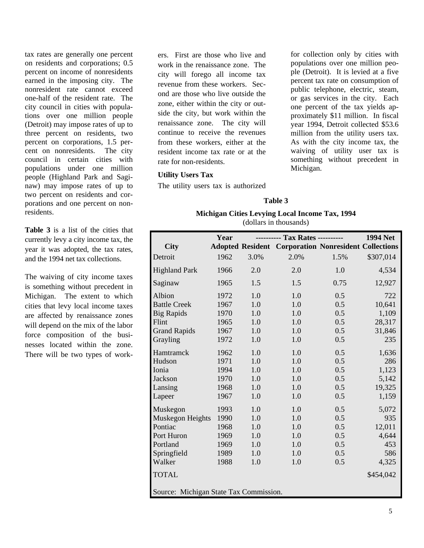tax rates are generally one percent on residents and corporations; 0.5 percent on income of nonresidents earned in the imposing city. The nonresident rate cannot exceed one-half of the resident rate. The city council in cities with populations over one million people (Detroit) may impose rates of up to three percent on residents, two percent on corporations, 1.5 percent on nonresidents. The city council in certain cities with populations under one million people (Highland Park and Saginaw) may impose rates of up to two percent on residents and corporations and one percent on nonresidents.

**Table 3** is a list of the cities that currently levy a city income tax, the year it was adopted, the tax rates, and the 1994 net tax collections.

The waiving of city income taxes is something without precedent in Michigan. The extent to which cities that levy local income taxes are affected by renaissance zones will depend on the mix of the labor force composition of the businesses located within the zone. There will be two types of workers. First are those who live and work in the renaissance zone. The city will forego all income tax revenue from these workers. Second are those who live outside the zone, either within the city or outside the city, but work within the renaissance zone. The city will continue to receive the revenues from these workers, either at the resident income tax rate or at the rate for non-residents.

#### **Utility Users Tax**

The utility users tax is authorized

for collection only by cities with populations over one million people (Detroit). It is levied at a five percent tax rate on consumption of public telephone, electric, steam, or gas services in the city. Each one percent of the tax yields approximately \$11 million. In fiscal year 1994, Detroit collected \$53.6 million from the utility users tax. As with the city income tax, the waiving of utility user tax is something without precedent in Michigan.

#### **Table 3**

#### **Michigan Cities Levying Local Income Tax, 1994** (dollars in thousands)

|                                        | Year |      |                                                             |      | <b>1994 Net</b> |
|----------------------------------------|------|------|-------------------------------------------------------------|------|-----------------|
| <b>City</b>                            |      |      | <b>Adopted Resident Corporation Nonresident Collections</b> |      |                 |
| Detroit                                | 1962 | 3.0% | 2.0%                                                        | 1.5% | \$307,014       |
| <b>Highland Park</b>                   | 1966 | 2.0  | 2.0                                                         | 1.0  | 4,534           |
| Saginaw                                | 1965 | 1.5  | 1.5                                                         | 0.75 | 12,927          |
| Albion                                 | 1972 | 1.0  | 1.0                                                         | 0.5  | 722             |
| <b>Battle Creek</b>                    | 1967 | 1.0  | 1.0                                                         | 0.5  | 10,641          |
| <b>Big Rapids</b>                      | 1970 | 1.0  | 1.0                                                         | 0.5  | 1,109           |
| Flint                                  | 1965 | 1.0  | 1.0                                                         | 0.5  | 28,317          |
| <b>Grand Rapids</b>                    | 1967 | 1.0  | 1.0                                                         | 0.5  | 31,846          |
| Grayling                               | 1972 | 1.0  | 1.0                                                         | 0.5  | 235             |
| Hamtramck                              | 1962 | 1.0  | 1.0                                                         | 0.5  | 1,636           |
| Hudson                                 | 1971 | 1.0  | 1.0                                                         | 0.5  | 286             |
| Ionia                                  | 1994 | 1.0  | 1.0                                                         | 0.5  | 1,123           |
| Jackson                                | 1970 | 1.0  | 1.0                                                         | 0.5  | 5,142           |
| Lansing                                | 1968 | 1.0  | 1.0                                                         | 0.5  | 19,325          |
| Lapeer                                 | 1967 | 1.0  | 1.0                                                         | 0.5  | 1,159           |
| Muskegon                               | 1993 | 1.0  | 1.0                                                         | 0.5  | 5,072           |
| Muskegon Heights                       | 1990 | 1.0  | 1.0                                                         | 0.5  | 935             |
| Pontiac                                | 1968 | 1.0  | 1.0                                                         | 0.5  | 12,011          |
| Port Huron                             | 1969 | 1.0  | 1.0                                                         | 0.5  | 4,644           |
| Portland                               | 1969 | 1.0  | 1.0                                                         | 0.5  | 453             |
| Springfield                            | 1989 | 1.0  | 1.0                                                         | 0.5  | 586             |
| Walker                                 | 1988 | 1.0  | 1.0                                                         | 0.5  | 4,325           |
| <b>TOTAL</b>                           |      |      |                                                             |      | \$454,042       |
| Source: Michigan State Tax Commission. |      |      |                                                             |      |                 |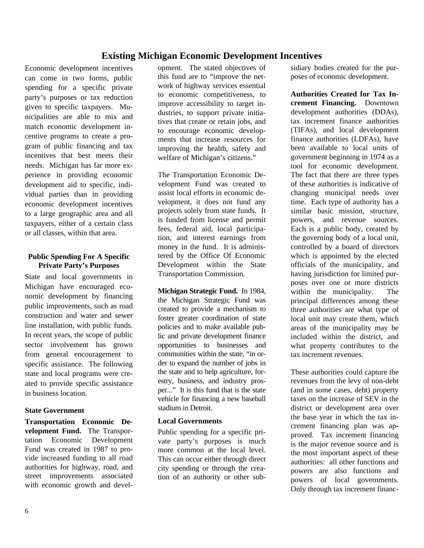# **Existing Michigan Economic Development Incentives**

Economic development incentives can come in two forms, public spending for a specific private party's purposes or tax reduction given to specific taxpayers. Municipalities are able to mix and match economic development incentive programs to create a program of public financing and tax incentives that best meets their needs. Michigan has far more experience in providing economic development aid to specific, individual parties than in providing economic development incentives to a large geographic area and all taxpayers, either of a certain class or all classes, within that area.

#### **Public Spending For A Specific Private Party's Purposes**

State and local governments in Michigan have encouraged economic development by financing public improvements, such as road construction and water and sewer line installation, with public funds. In recent years, the scope of public sector involvement has grown from general encouragement to specific assistance. The following state and local programs were created to provide specific assistance in business location.

#### **State Government**

**Transportation Economic Development Fund.** The Transportation Economic Development Fund was created in 1987 to provide increased funding to all road authorities for highway, road, and street improvements associated with economic growth and devel-

opment. The stated objectives of this fund are to "improve the network of highway services essential to economic competitiveness, to improve accessibility to target industries, to support private initiatives that create or retain jobs, and to encourage economic developments that increase resources for improving the health, safety and welfare of Michigan's citizens."

The Transportation Economic Development Fund was created to assist local efforts in economic development, it does not fund any projects solely from state funds. It is funded from license and permit fees, federal aid, local participation, and interest earnings from money in the fund. It is administered by the Office Of Economic Development within the State Transportation Commission.

**Michigan Strategic Fund.** In 1984, the Michigan Strategic Fund was created to provide a mechanism to foster greater coordination of state policies and to make available public and private development finance opportunities to businesses and communities within the state, "in order to expand the number of jobs in the state and to help agriculture, forestry, business, and industry prosper..." It is this fund that is the state vehicle for financing a new baseball stadium in Detroit.

#### **Local Governments**

Public spending for a specific private party's purposes is much more common at the local level. This can occur either through direct city spending or through the creation of an authority or other subsidiary bodies created for the purposes of economic development.

**Authorities Created for Tax Increment Financing.** Downtown development authorities (DDAs), tax increment finance authorities (TIFAs), and local development finance authorities (LDFAs), have been available to local units of government beginning in 1974 as a tool for economic development. The fact that there are three types of these authorities is indicative of changing municipal needs over time. Each type of authority has a similar basic mission, structure, powers, and revenue sources. Each is a public body, created by the governing body of a local unit, controlled by a board of directors which is appointed by the elected officials of the municipality, and having jurisdiction for limited purposes over one or more districts within the municipality. The principal differences among these three authorities are what type of local unit may create them, which areas of the municipality may be included within the district, and what property contributes to the tax increment revenues.

These authorities could capture the revenues from the levy of non-debt (and in some cases, debt) property taxes on the increase of SEV in the district or development area over the base year in which the tax increment financing plan was approved. Tax increment financing is the major revenue source and is the most important aspect of these authorities: all other functions and powers are also functions and powers of local governments. Only through tax increment financ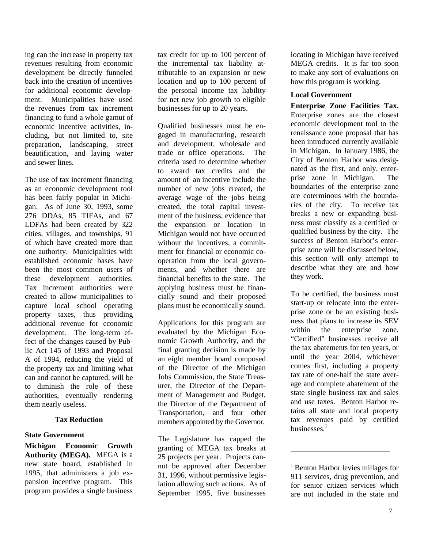ing can the increase in property tax revenues resulting from economic development be directly funneled back into the creation of incentives for additional economic development. Municipalities have used the revenues from tax increment financing to fund a whole gamut of economic incentive activities, including, but not limited to, site preparation, landscaping, street beautification, and laying water and sewer lines.

The use of tax increment financing as an economic development tool has been fairly popular in Michigan. As of June 30, 1993, some 276 DDAs, 85 TIFAs, and 67 LDFAs had been created by 322 cities, villages, and townships, 91 of which have created more than one authority. Municipalities with established economic bases have been the most common users of these development authorities. Tax increment authorities were created to allow municipalities to capture local school operating property taxes, thus providing additional revenue for economic development. The long-term effect of the changes caused by Public Act 145 of 1993 and Proposal A of 1994, reducing the yield of the property tax and limiting what can and cannot be captured, will be to diminish the role of these authorities, eventually rendering them nearly useless.

#### **Tax Reduction**

#### **State Government**

**Michigan Economic Growth Authority (MEGA).** MEGA is a new state board, established in 1995, that administers a job expansion incentive program. This program provides a single business tax credit for up to 100 percent of the incremental tax liability attributable to an expansion or new location and up to 100 percent of the personal income tax liability for net new job growth to eligible businesses for up to 20 years.

Qualified businesses must be engaged in manufacturing, research and development, wholesale and trade or office operations. The criteria used to determine whether to award tax credits and the amount of an incentive include the number of new jobs created, the average wage of the jobs being created, the total capital investment of the business, evidence that the expansion or location in Michigan would not have occurred without the incentives, a commitment for financial or economic cooperation from the local governments, and whether there are financial benefits to the state. The applying business must be financially sound and their proposed plans must be economically sound.

Applications for this program are evaluated by the Michigan Economic Growth Authority, and the final granting decision is made by an eight member board composed of the Director of the Michigan Jobs Commission, the State Treasurer, the Director of the Department of Management and Budget, the Director of the Department of Transportation, and four other members appointed by the Governor.

The Legislature has capped the granting of MEGA tax breaks at 25 projects per year. Projects cannot be approved after December 31, 1996, without permissive legislation allowing such actions. As of September 1995, five businesses

locating in Michigan have received MEGA credits. It is far too soon to make any sort of evaluations on how this program is working.

#### **Local Government**

**Enterprise Zone Facilities Tax.** Enterprise zones are the closest economic development tool to the renaissance zone proposal that has been introduced currently available in Michigan. In January 1986, the City of Benton Harbor was designated as the first, and only, enterprise zone in Michigan. The boundaries of the enterprise zone are coterminous with the boundaries of the city. To receive tax breaks a new or expanding business must classify as a certified or qualified business by the city. The success of Benton Harbor's enterprise zone will be discussed below, this section will only attempt to describe what they are and how they work.

To be certified, the business must start-up or relocate into the enterprise zone or be an existing business that plans to increase its SEV within the enterprise zone. "Certified" businesses receive all the tax abatements for ten years, or until the year 2004, whichever comes first, including a property tax rate of one-half the state average and complete abatement of the state single business tax and sales and use taxes. Benton Harbor retains all state and local property tax revenues paid by certified businesses. $1$ 

<sup>1</sup> Benton Harbor levies millages for 911 services, drug prevention, and for senior citizen services which are not included in the state and

 $\overline{a}$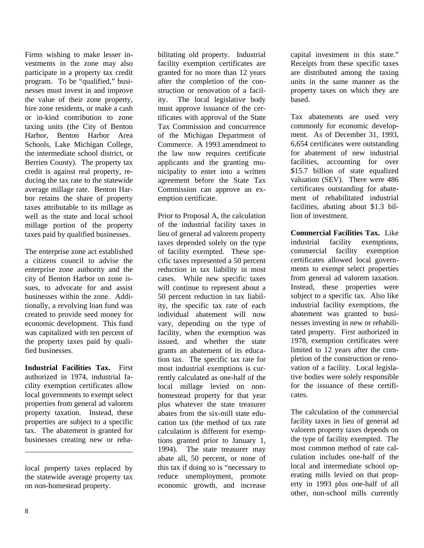Firms wishing to make lesser investments in the zone may also participate in a property tax credit program. To be "qualified," businesses must invest in and improve the value of their zone property, hire zone residents, or make a cash or in-kind contribution to zone taxing units (the City of Benton Harbor, Benton Harbor Area Schools, Lake Michigan College, the intermediate school district, or Berrien County). The property tax credit is against real property, reducing the tax rate to the statewide average millage rate. Benton Harbor retains the share of property taxes attributable to its millage as well as the state and local school millage portion of the property taxes paid by qualified businesses.

The enterprise zone act established a citizens council to advise the enterprise zone authority and the city of Benton Harbor on zone issues, to advocate for and assist businesses within the zone. Additionally, a revolving loan fund was created to provide seed money for economic development. This fund was capitalized with ten percent of the property taxes paid by qualified businesses.

**Industrial Facilities Tax.** First authorized in 1974, industrial facility exemption certificates allow local governments to exempt select properties from general ad valorem property taxation. Instead, these properties are subject to a specific tax. The abatement is granted for businesses creating new or reha-

local property taxes replaced by the statewide average property tax on non-homestead property.

bilitating old property. Industrial facility exemption certificates are granted for no more than 12 years after the completion of the construction or renovation of a facility. The local legislative body must approve issuance of the certificates with approval of the State Tax Commission and concurrence of the Michigan Department of Commerce. A 1993 amendment to the law now requires certificate applicants and the granting municipality to enter into a written agreement before the State Tax Commission can approve an exemption certificate.

Prior to Proposal A, the calculation of the industrial facility taxes in lieu of general ad valorem property taxes depended solely on the type of facility exempted. These specific taxes represented a 50 percent reduction in tax liability in most cases. While new specific taxes will continue to represent about a 50 percent reduction in tax liability, the specific tax rate of each individual abatement will now vary, depending on the type of facility, when the exemption was issued, and whether the state grants an abatement of its education tax. The specific tax rate for most industrial exemptions is currently calculated as one-half of the local millage levied on nonhomestead property for that year plus whatever the state treasurer abates from the six-mill state education tax (the method of tax rate calculation is different for exemptions granted prior to January 1, 1994). The state treasurer may abate all, 50 percent, or none of this tax if doing so is "necessary to reduce unemployment, promote economic growth, and increase

capital investment in this state." Receipts from these specific taxes are distributed among the taxing units in the same manner as the property taxes on which they are based.

Tax abatements are used very commonly for economic development. As of December 31, 1993, 6,654 certificates were outstanding for abatement of new industrial facilities, accounting for over \$15.7 billion of state equalized valuation (SEV). There were 486 certificates outstanding for abatement of rehabilitated industrial facilities, abating about \$1.3 billion of investment.

**Commercial Facilities Tax.** Like industrial facility exemptions, commercial facility exemption certificates allowed local governments to exempt select properties from general ad valorem taxation. Instead, these properties were subject to a specific tax. Also like industrial facility exemptions, the abatement was granted to businesses investing in new or rehabilitated property. First authorized in 1978, exemption certificates were limited to 12 years after the completion of the construction or renovation of a facility. Local legislative bodies were solely responsible for the issuance of these certificates.

The calculation of the commercial facility taxes in lieu of general ad valorem property taxes depends on the type of facility exempted. The most common method of rate calculation includes one-half of the local and intermediate school operating mills levied on that property in 1993 plus one-half of all other, non-school mills currently

 $\overline{a}$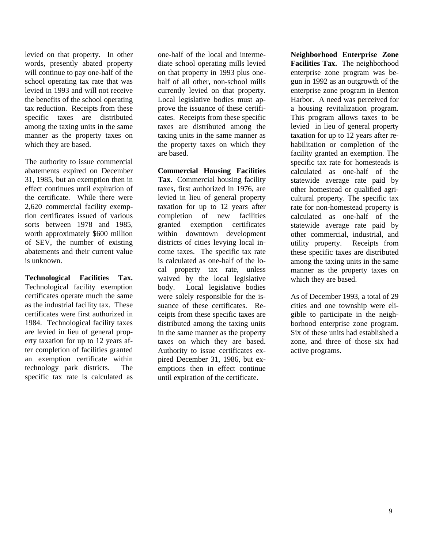levied on that property. In other words, presently abated property will continue to pay one-half of the school operating tax rate that was levied in 1993 and will not receive the benefits of the school operating tax reduction. Receipts from these specific taxes are distributed among the taxing units in the same manner as the property taxes on which they are based.

The authority to issue commercial abatements expired on December 31, 1985, but an exemption then in effect continues until expiration of the certificate. While there were 2,620 commercial facility exemption certificates issued of various sorts between 1978 and 1985, worth approximately \$600 million of SEV, the number of existing abatements and their current value is unknown.

**Technological Facilities Tax.** Technological facility exemption certificates operate much the same as the industrial facility tax. These certificates were first authorized in 1984. Technological facility taxes are levied in lieu of general property taxation for up to 12 years after completion of facilities granted an exemption certificate within technology park districts. The specific tax rate is calculated as one-half of the local and intermediate school operating mills levied on that property in 1993 plus onehalf of all other, non-school mills currently levied on that property. Local legislative bodies must approve the issuance of these certificates. Receipts from these specific taxes are distributed among the taxing units in the same manner as the property taxes on which they are based.

**Commercial Housing Facilities Tax.** Commercial housing facility taxes, first authorized in 1976, are levied in lieu of general property taxation for up to 12 years after completion of new facilities granted exemption certificates within downtown development districts of cities levying local income taxes. The specific tax rate is calculated as one-half of the local property tax rate, unless waived by the local legislative body. Local legislative bodies were solely responsible for the issuance of these certificates. Receipts from these specific taxes are distributed among the taxing units in the same manner as the property taxes on which they are based. Authority to issue certificates expired December 31, 1986, but exemptions then in effect continue until expiration of the certificate.

**Neighborhood Enterprise Zone Facilities Tax.** The neighborhood enterprise zone program was begun in 1992 as an outgrowth of the enterprise zone program in Benton Harbor. A need was perceived for a housing revitalization program. This program allows taxes to be levied in lieu of general property taxation for up to 12 years after rehabilitation or completion of the facility granted an exemption. The specific tax rate for homesteads is calculated as one-half of the statewide average rate paid by other homestead or qualified agricultural property. The specific tax rate for non-homestead property is calculated as one-half of the statewide average rate paid by other commercial, industrial, and utility property. Receipts from these specific taxes are distributed among the taxing units in the same manner as the property taxes on which they are based.

As of December 1993, a total of 29 cities and one township were eligible to participate in the neighborhood enterprise zone program. Six of these units had established a zone, and three of those six had active programs.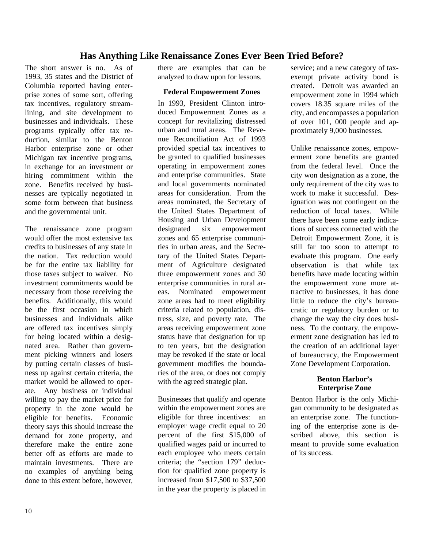# **Has Anything Like Renaissance Zones Ever Been Tried Before?**

The short answer is no. As of 1993, 35 states and the District of Columbia reported having enterprise zones of some sort, offering tax incentives, regulatory streamlining, and site development to businesses and individuals. These programs typically offer tax reduction, similar to the Benton Harbor enterprise zone or other Michigan tax incentive programs, in exchange for an investment or hiring commitment within the zone. Benefits received by businesses are typically negotiated in some form between that business and the governmental unit.

The renaissance zone program would offer the most extensive tax credits to businesses of any state in the nation. Tax reduction would be for the entire tax liability for those taxes subject to waiver. No investment commitments would be necessary from those receiving the benefits. Additionally, this would be the first occasion in which businesses and individuals alike are offered tax incentives simply for being located within a designated area. Rather than government picking winners and losers by putting certain classes of business up against certain criteria, the market would be allowed to operate. Any business or individual willing to pay the market price for property in the zone would be eligible for benefits. Economic theory says this should increase the demand for zone property, and therefore make the entire zone better off as efforts are made to maintain investments. There are no examples of anything being done to this extent before, however, there are examples that can be analyzed to draw upon for lessons.

#### **Federal Empowerment Zones**

In 1993, President Clinton introduced Empowerment Zones as a concept for revitalizing distressed urban and rural areas. The Revenue Reconciliation Act of 1993 provided special tax incentives to be granted to qualified businesses operating in empowerment zones and enterprise communities. State and local governments nominated areas for consideration. From the areas nominated, the Secretary of the United States Department of Housing and Urban Development designated six empowerment zones and 65 enterprise communities in urban areas, and the Secretary of the United States Department of Agriculture designated three empowerment zones and 30 enterprise communities in rural areas. Nominated empowerment zone areas had to meet eligibility criteria related to population, distress, size, and poverty rate. The areas receiving empowerment zone status have that designation for up to ten years, but the designation may be revoked if the state or local government modifies the boundaries of the area, or does not comply with the agreed strategic plan.

Businesses that qualify and operate within the empowerment zones are eligible for three incentives: an employer wage credit equal to 20 percent of the first \$15,000 of qualified wages paid or incurred to each employee who meets certain criteria; the "section 179" deduction for qualified zone property is increased from \$17,500 to \$37,500 in the year the property is placed in

service; and a new category of taxexempt private activity bond is created. Detroit was awarded an empowerment zone in 1994 which covers 18.35 square miles of the city, and encompasses a population of over 101, 000 people and approximately 9,000 businesses.

Unlike renaissance zones, empowerment zone benefits are granted from the federal level. Once the city won designation as a zone, the only requirement of the city was to work to make it successful. Designation was not contingent on the reduction of local taxes. While there have been some early indications of success connected with the Detroit Empowerment Zone, it is still far too soon to attempt to evaluate this program. One early observation is that while tax benefits have made locating within the empowerment zone more attractive to businesses, it has done little to reduce the city's bureaucratic or regulatory burden or to change the way the city does business. To the contrary, the empowerment zone designation has led to the creation of an additional layer of bureaucracy, the Empowerment Zone Development Corporation.

#### **Benton Harbor's Enterprise Zone**

Benton Harbor is the only Michigan community to be designated as an enterprise zone. The functioning of the enterprise zone is described above, this section is meant to provide some evaluation of its success.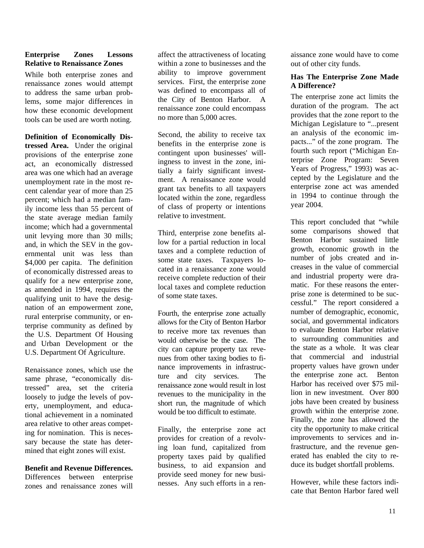#### **Enterprise Zones Lessons Relative to Renaissance Zones**

While both enterprise zones and renaissance zones would attempt to address the same urban problems, some major differences in how these economic development tools can be used are worth noting.

**Definition of Economically Distressed Area.** Under the original provisions of the enterprise zone act, an economically distressed area was one which had an average unemployment rate in the most recent calendar year of more than 25 percent; which had a median family income less than 55 percent of the state average median family income; which had a governmental unit levying more than 30 mills; and, in which the SEV in the governmental unit was less than \$4,000 per capita. The definition of economically distressed areas to qualify for a new enterprise zone, as amended in 1994, requires the qualifying unit to have the designation of an empowerment zone, rural enterprise community, or enterprise community as defined by the U.S. Department Of Housing and Urban Development or the U.S. Department Of Agriculture.

Renaissance zones, which use the same phrase, "economically distressed" area, set the criteria loosely to judge the levels of poverty, unemployment, and educational achievement in a nominated area relative to other areas competing for nomination. This is necessary because the state has determined that eight zones will exist.

**Benefit and Revenue Differences.** Differences between enterprise zones and renaissance zones will

affect the attractiveness of locating within a zone to businesses and the ability to improve government services. First, the enterprise zone was defined to encompass all of the City of Benton Harbor. A renaissance zone could encompass no more than 5,000 acres.

Second, the ability to receive tax benefits in the enterprise zone is contingent upon businesses' willingness to invest in the zone, initially a fairly significant investment. A renaissance zone would grant tax benefits to all taxpayers located within the zone, regardless of class of property or intentions relative to investment.

Third, enterprise zone benefits allow for a partial reduction in local taxes and a complete reduction of some state taxes. Taxpayers located in a renaissance zone would receive complete reduction of their local taxes and complete reduction of some state taxes.

Fourth, the enterprise zone actually allows for the City of Benton Harbor to receive more tax revenues than would otherwise be the case. The city can capture property tax revenues from other taxing bodies to finance improvements in infrastructure and city services. The renaissance zone would result in lost revenues to the municipality in the short run, the magnitude of which would be too difficult to estimate.

Finally, the enterprise zone act provides for creation of a revolving loan fund, capitalized from property taxes paid by qualified business, to aid expansion and provide seed money for new businesses. Any such efforts in a ren-

aissance zone would have to come out of other city funds.

#### **Has The Enterprise Zone Made A Difference?**

The enterprise zone act limits the duration of the program. The act provides that the zone report to the Michigan Legislature to "...present an analysis of the economic impacts..." of the zone program. The fourth such report ("Michigan Enterprise Zone Program: Seven Years of Progress," 1993) was accepted by the Legislature and the enterprise zone act was amended in 1994 to continue through the year 2004.

This report concluded that "while some comparisons showed that Benton Harbor sustained little growth, economic growth in the number of jobs created and increases in the value of commercial and industrial property were dramatic. For these reasons the enterprise zone is determined to be successful." The report considered a number of demographic, economic, social, and governmental indicators to evaluate Benton Harbor relative to surrounding communities and the state as a whole. It was clear that commercial and industrial property values have grown under the enterprise zone act. Benton Harbor has received over \$75 million in new investment. Over 800 jobs have been created by business growth within the enterprise zone. Finally, the zone has allowed the city the opportunity to make critical improvements to services and infrastructure, and the revenue generated has enabled the city to reduce its budget shortfall problems.

However, while these factors indicate that Benton Harbor fared well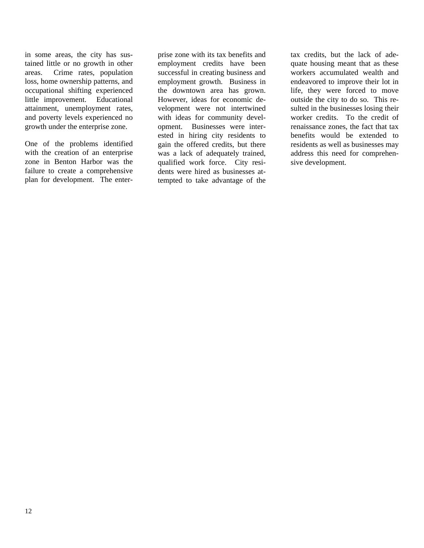in some areas, the city has sustained little or no growth in other areas. Crime rates, population loss, home ownership patterns, and occupational shifting experienced little improvement. Educational attainment, unemployment rates, and poverty levels experienced no growth under the enterprise zone.

One of the problems identified with the creation of an enterprise zone in Benton Harbor was the failure to create a comprehensive plan for development. The enterprise zone with its tax benefits and employment credits have been successful in creating business and employment growth. Business in the downtown area has grown. However, ideas for economic development were not intertwined with ideas for community development. Businesses were interested in hiring city residents to gain the offered credits, but there was a lack of adequately trained, qualified work force. City residents were hired as businesses attempted to take advantage of the

tax credits, but the lack of adequate housing meant that as these workers accumulated wealth and endeavored to improve their lot in life, they were forced to move outside the city to do so. This resulted in the businesses losing their worker credits. To the credit of renaissance zones, the fact that tax benefits would be extended to residents as well as businesses may address this need for comprehensive development.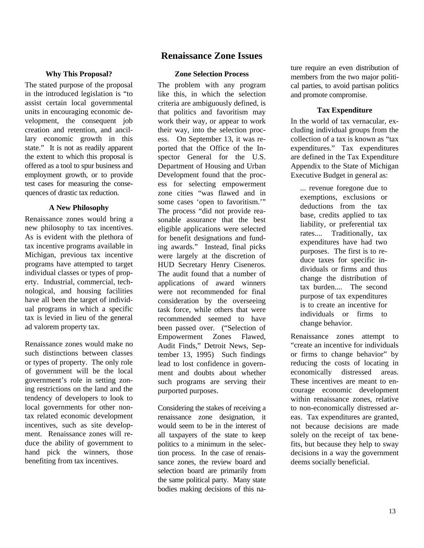# **Renaissance Zone Issues**

#### **Why This Proposal?**

The stated purpose of the proposal in the introduced legislation is "to assist certain local governmental units in encouraging economic development, the consequent job creation and retention, and ancillary economic growth in this state." It is not as readily apparent the extent to which this proposal is offered as a tool to spur business and employment growth, or to provide test cases for measuring the consequences of drastic tax reduction.

#### **A New Philosophy**

Renaissance zones would bring a new philosophy to tax incentives. As is evident with the plethora of tax incentive programs available in Michigan, previous tax incentive programs have attempted to target individual classes or types of property. Industrial, commercial, technological, and housing facilities have all been the target of individual programs in which a specific tax is levied in lieu of the general ad valorem property tax.

Renaissance zones would make no such distinctions between classes or types of property. The only role of government will be the local government's role in setting zoning restrictions on the land and the tendency of developers to look to local governments for other nontax related economic development incentives, such as site development. Renaissance zones will reduce the ability of government to hand pick the winners, those benefiting from tax incentives.

#### **Zone Selection Process**

The problem with any program like this, in which the selection criteria are ambiguously defined, is that politics and favoritism may work their way, or appear to work their way, into the selection process. On September 13, it was reported that the Office of the Inspector General for the U.S. Department of Housing and Urban Development found that the process for selecting empowerment zone cities "was flawed and in some cases 'open to favoritism.'" The process "did not provide reasonable assurance that the best eligible applications were selected for benefit designations and funding awards." Instead, final picks were largely at the discretion of HUD Secretary Henry Ciseneros. The audit found that a number of applications of award winners were not recommended for final consideration by the overseeing task force, while others that were recommended seemed to have been passed over. ("Selection of Empowerment Zones Flawed, Audit Finds," Detroit News, September 13, 1995) Such findings lead to lost confidence in government and doubts about whether such programs are serving their purported purposes.

Considering the stakes of receiving a renaissance zone designation, it would seem to be in the interest of all taxpayers of the state to keep politics to a minimum in the selection process. In the case of renaissance zones, the review board and selection board are primarily from the same political party. Many state bodies making decisions of this nature require an even distribution of members from the two major political parties, to avoid partisan politics and promote compromise.

#### **Tax Expenditure**

In the world of tax vernacular, excluding individual groups from the collection of a tax is known as "tax expenditures." Tax expenditures are defined in the Tax Expenditure Appendix to the State of Michigan Executive Budget in general as:

... revenue foregone due to exemptions, exclusions or deductions from the tax base, credits applied to tax liability, or preferential tax rates.... Traditionally, tax expenditures have had two purposes. The first is to reduce taxes for specific individuals or firms and thus change the distribution of tax burden.... The second purpose of tax expenditures is to create an incentive for individuals or firms to change behavior.

Renaissance zones attempt to "create an incentive for individuals or firms to change behavior" by reducing the costs of locating in economically distressed areas. These incentives are meant to encourage economic development within renaissance zones, relative to non-economically distressed areas. Tax expenditures are granted, not because decisions are made solely on the receipt of tax benefits, but because they help to sway decisions in a way the government deems socially beneficial.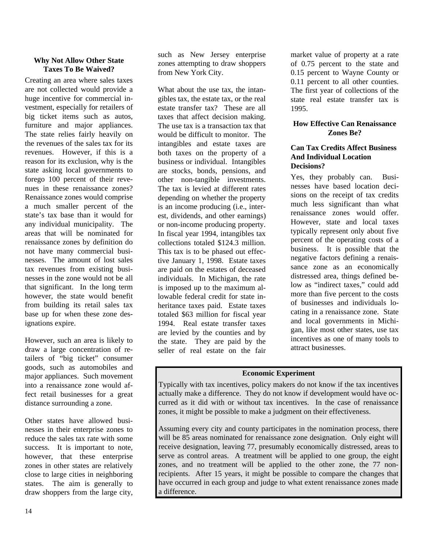#### **Why Not Allow Other State Taxes To Be Waived?**

Creating an area where sales taxes are not collected would provide a huge incentive for commercial investment, especially for retailers of big ticket items such as autos, furniture and major appliances. The state relies fairly heavily on the revenues of the sales tax for its revenues. However, if this is a reason for its exclusion, why is the state asking local governments to forego 100 percent of their revenues in these renaissance zones? Renaissance zones would comprise a much smaller percent of the state's tax base than it would for any individual municipality. The areas that will be nominated for renaissance zones by definition do not have many commercial businesses. The amount of lost sales tax revenues from existing businesses in the zone would not be all that significant. In the long term however, the state would benefit from building its retail sales tax base up for when these zone designations expire.

However, such an area is likely to draw a large concentration of retailers of "big ticket" consumer goods, such as automobiles and major appliances. Such movement into a renaissance zone would affect retail businesses for a great distance surrounding a zone.

Other states have allowed businesses in their enterprise zones to reduce the sales tax rate with some success. It is important to note, however, that these enterprise zones in other states are relatively close to large cities in neighboring states. The aim is generally to draw shoppers from the large city,

such as New Jersey enterprise zones attempting to draw shoppers from New York City.

What about the use tax, the intangibles tax, the estate tax, or the real estate transfer tax? These are all taxes that affect decision making. The use tax is a transaction tax that would be difficult to monitor. The intangibles and estate taxes are both taxes on the property of a business or individual. Intangibles are stocks, bonds, pensions, and other non-tangible investments. The tax is levied at different rates depending on whether the property is an income producing (i.e., interest, dividends, and other earnings) or non-income producing property. In fiscal year 1994, intangibles tax collections totaled \$124.3 million. This tax is to be phased out effective January 1, 1998. Estate taxes are paid on the estates of deceased individuals. In Michigan, the rate is imposed up to the maximum allowable federal credit for state inheritance taxes paid. Estate taxes totaled \$63 million for fiscal year 1994. Real estate transfer taxes are levied by the counties and by the state. They are paid by the seller of real estate on the fair

market value of property at a rate of 0.75 percent to the state and 0.15 percent to Wayne County or 0.11 percent to all other counties. The first year of collections of the state real estate transfer tax is 1995.

#### **How Effective Can Renaissance Zones Be?**

#### **Can Tax Credits Affect Business And Individual Location Decisions?**

Yes, they probably can. Businesses have based location decisions on the receipt of tax credits much less significant than what renaissance zones would offer. However, state and local taxes typically represent only about five percent of the operating costs of a business. It is possible that the negative factors defining a renaissance zone as an economically distressed area, things defined below as "indirect taxes," could add more than five percent to the costs of businesses and individuals locating in a renaissance zone. State and local governments in Michigan, like most other states, use tax incentives as one of many tools to attract businesses.

#### **Economic Experiment**

Typically with tax incentives, policy makers do not know if the tax incentives actually make a difference. They do not know if development would have occurred as it did with or without tax incentives. In the case of renaissance zones, it might be possible to make a judgment on their effectiveness.

Assuming every city and county participates in the nomination process, there will be 85 areas nominated for renaissance zone designation. Only eight will receive designation, leaving 77, presumably economically distressed, areas to serve as control areas. A treatment will be applied to one group, the eight zones, and no treatment will be applied to the other zone, the 77 nonrecipients. After 15 years, it might be possible to compare the changes that have occurred in each group and judge to what extent renaissance zones made a difference.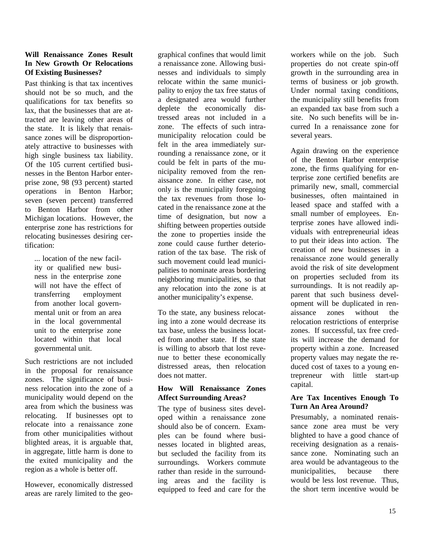#### **Will Renaissance Zones Result In New Growth Or Relocations Of Existing Businesses?**

Past thinking is that tax incentives should not be so much, and the qualifications for tax benefits so lax, that the businesses that are attracted are leaving other areas of the state. It is likely that renaissance zones will be disproportionately attractive to businesses with high single business tax liability. Of the 105 current certified businesses in the Benton Harbor enterprise zone, 98 (93 percent) started operations in Benton Harbor; seven (seven percent) transferred to Benton Harbor from other Michigan locations. However, the enterprise zone has restrictions for relocating businesses desiring certification:

... location of the new facility or qualified new business in the enterprise zone will not have the effect of transferring employment from another local governmental unit or from an area in the local governmental unit to the enterprise zone located within that local governmental unit.

Such restrictions are not included in the proposal for renaissance zones. The significance of business relocation into the zone of a municipality would depend on the area from which the business was relocating. If businesses opt to relocate into a renaissance zone from other municipalities without blighted areas, it is arguable that, in aggregate, little harm is done to the exited municipality and the region as a whole is better off.

However, economically distressed areas are rarely limited to the geographical confines that would limit a renaissance zone. Allowing businesses and individuals to simply relocate within the same municipality to enjoy the tax free status of a designated area would further deplete the economically distressed areas not included in a zone. The effects of such intramunicipality relocation could be felt in the area immediately surrounding a renaissance zone, or it could be felt in parts of the municipality removed from the renaissance zone. In either case, not only is the municipality foregoing the tax revenues from those located in the renaissance zone at the time of designation, but now a shifting between properties outside the zone to properties inside the zone could cause further deterioration of the tax base. The risk of such movement could lead municipalities to nominate areas bordering neighboring municipalities, so that any relocation into the zone is at another municipality's expense.

To the state, any business relocating into a zone would decrease its tax base, unless the business located from another state. If the state is willing to absorb that lost revenue to better these economically distressed areas, then relocation does not matter

#### **How Will Renaissance Zones Affect Surrounding Areas?**

The type of business sites developed within a renaissance zone should also be of concern. Examples can be found where businesses located in blighted areas, but secluded the facility from its surroundings. Workers commute rather than reside in the surrounding areas and the facility is equipped to feed and care for the

workers while on the job. Such properties do not create spin-off growth in the surrounding area in terms of business or job growth. Under normal taxing conditions, the municipality still benefits from an expanded tax base from such a site. No such benefits will be incurred In a renaissance zone for several years.

Again drawing on the experience of the Benton Harbor enterprise zone, the firms qualifying for enterprise zone certified benefits are primarily new, small, commercial businesses, often maintained in leased space and staffed with a small number of employees. Enterprise zones have allowed individuals with entrepreneurial ideas to put their ideas into action. The creation of new businesses in a renaissance zone would generally avoid the risk of site development on properties secluded from its surroundings. It is not readily apparent that such business development will be duplicated in renaissance zones without the relocation restrictions of enterprise zones. If successful, tax free credits will increase the demand for property within a zone. Increased property values may negate the reduced cost of taxes to a young entrepreneur with little start-up capital.

#### **Are Tax Incentives Enough To Turn An Area Around?**

Presumably, a nominated renaissance zone area must be very blighted to have a good chance of receiving designation as a renaissance zone. Nominating such an area would be advantageous to the municipalities, because there would be less lost revenue. Thus, the short term incentive would be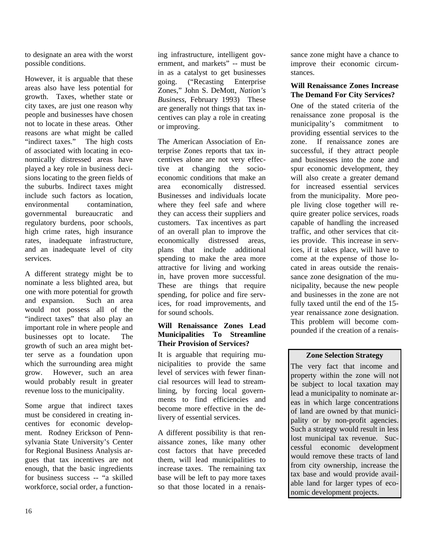to designate an area with the worst possible conditions.

However, it is arguable that these areas also have less potential for growth. Taxes, whether state or city taxes, are just one reason why people and businesses have chosen not to locate in these areas. Other reasons are what might be called "indirect taxes." The high costs of associated with locating in economically distressed areas have played a key role in business decisions locating to the green fields of the suburbs. Indirect taxes might include such factors as location, environmental contamination, governmental bureaucratic and regulatory burdens, poor schools, high crime rates, high insurance rates, inadequate infrastructure, and an inadequate level of city services.

A different strategy might be to nominate a less blighted area, but one with more potential for growth and expansion. Such an area would not possess all of the "indirect taxes" that also play an important role in where people and businesses opt to locate. The growth of such an area might better serve as a foundation upon which the surrounding area might grow. However, such an area would probably result in greater revenue loss to the municipality.

Some argue that indirect taxes must be considered in creating incentives for economic development. Rodney Erickson of Pennsylvania State University's Center for Regional Business Analysis argues that tax incentives are not enough, that the basic ingredients for business success -- "a skilled workforce, social order, a functioning infrastructure, intelligent government, and markets" -- must be in as a catalyst to get businesses going. ("Recasting Enterprise Zones," John S. DeMott, *Nation's Business*, February 1993) These are generally not things that tax incentives can play a role in creating or improving.

The American Association of Enterprise Zones reports that tax incentives alone are not very effective at changing the socioeconomic conditions that make an area economically distressed. Businesses and individuals locate where they feel safe and where they can access their suppliers and customers. Tax incentives as part of an overall plan to improve the economically distressed areas, plans that include additional spending to make the area more attractive for living and working in, have proven more successful. These are things that require spending, for police and fire services, for road improvements, and for sound schools.

#### **Will Renaissance Zones Lead Municipalities To Streamline Their Provision of Services?**

It is arguable that requiring municipalities to provide the same level of services with fewer financial resources will lead to streamlining, by forcing local governments to find efficiencies and become more effective in the delivery of essential services.

A different possibility is that renaissance zones, like many other cost factors that have preceded them, will lead municipalities to increase taxes. The remaining tax base will be left to pay more taxes so that those located in a renaissance zone might have a chance to improve their economic circumstances.

#### **Will Renaissance Zones Increase The Demand For City Services?**

One of the stated criteria of the renaissance zone proposal is the municipality's commitment to providing essential services to the zone. If renaissance zones are successful, if they attract people and businesses into the zone and spur economic development, they will also create a greater demand for increased essential services from the municipality. More people living close together will require greater police services, roads capable of handling the increased traffic, and other services that cities provide. This increase in services, if it takes place, will have to come at the expense of those located in areas outside the renaissance zone designation of the municipality, because the new people and businesses in the zone are not fully taxed until the end of the 15 year renaissance zone designation. This problem will become compounded if the creation of a renais-

### **Zone Selection Strategy**

The very fact that income and property within the zone will not be subject to local taxation may lead a municipality to nominate areas in which large concentrations of land are owned by that municipality or by non-profit agencies. Such a strategy would result in less lost municipal tax revenue. Successful economic development would remove these tracts of land from city ownership, increase the tax base and would provide available land for larger types of economic development projects.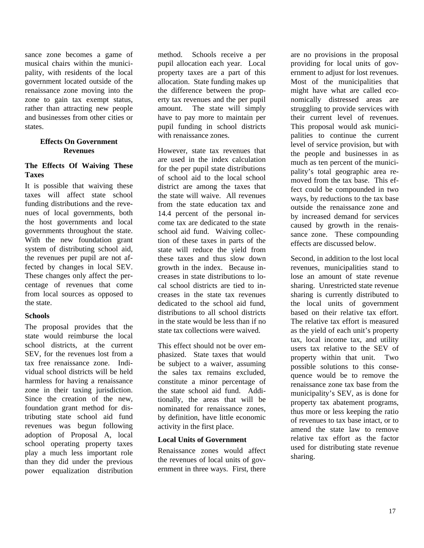sance zone becomes a game of musical chairs within the municipality, with residents of the local government located outside of the renaissance zone moving into the zone to gain tax exempt status, rather than attracting new people and businesses from other cities or states.

#### **Effects On Government Revenues**

#### **The Effects Of Waiving These Taxes**

It is possible that waiving these taxes will affect state school funding distributions and the revenues of local governments, both the host governments and local governments throughout the state. With the new foundation grant system of distributing school aid, the revenues per pupil are not affected by changes in local SEV. These changes only affect the percentage of revenues that come from local sources as opposed to the state.

#### **Schools**

The proposal provides that the state would reimburse the local school districts, at the current SEV, for the revenues lost from a tax free renaissance zone. Individual school districts will be held harmless for having a renaissance zone in their taxing jurisdiction. Since the creation of the new, foundation grant method for distributing state school aid fund revenues was begun following adoption of Proposal A, local school operating property taxes play a much less important role than they did under the previous power equalization distribution

method. Schools receive a per pupil allocation each year. Local property taxes are a part of this allocation. State funding makes up the difference between the property tax revenues and the per pupil amount. The state will simply have to pay more to maintain per pupil funding in school districts with renaissance zones.

However, state tax revenues that are used in the index calculation for the per pupil state distributions of school aid to the local school district are among the taxes that the state will waive. All revenues from the state education tax and 14.4 percent of the personal income tax are dedicated to the state school aid fund. Waiving collection of these taxes in parts of the state will reduce the yield from these taxes and thus slow down growth in the index. Because increases in state distributions to local school districts are tied to increases in the state tax revenues dedicated to the school aid fund, distributions to all school districts in the state would be less than if no state tax collections were waived.

This effect should not be over emphasized. State taxes that would be subject to a waiver, assuming the sales tax remains excluded, constitute a minor percentage of the state school aid fund. Additionally, the areas that will be nominated for renaissance zones, by definition, have little economic activity in the first place.

#### **Local Units of Government**

Renaissance zones would affect the revenues of local units of government in three ways. First, there

are no provisions in the proposal providing for local units of government to adjust for lost revenues. Most of the municipalities that might have what are called economically distressed areas are struggling to provide services with their current level of revenues. This proposal would ask municipalities to continue the current level of service provision, but with the people and businesses in as much as ten percent of the municipality's total geographic area removed from the tax base. This effect could be compounded in two ways, by reductions to the tax base outside the renaissance zone and by increased demand for services caused by growth in the renaissance zone. These compounding effects are discussed below.

Second, in addition to the lost local revenues, municipalities stand to lose an amount of state revenue sharing. Unrestricted state revenue sharing is currently distributed to the local units of government based on their relative tax effort. The relative tax effort is measured as the yield of each unit's property tax, local income tax, and utility users tax relative to the SEV of property within that unit. Two possible solutions to this consequence would be to remove the renaissance zone tax base from the municipality's SEV, as is done for property tax abatement programs, thus more or less keeping the ratio of revenues to tax base intact, or to amend the state law to remove relative tax effort as the factor used for distributing state revenue sharing.